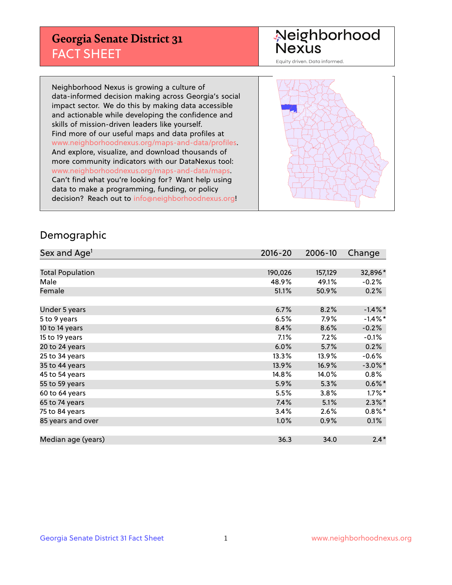## **Georgia Senate District 31** FACT SHEET

# Neighborhood<br>Nexus

Equity driven. Data informed.

Neighborhood Nexus is growing a culture of data-informed decision making across Georgia's social impact sector. We do this by making data accessible and actionable while developing the confidence and skills of mission-driven leaders like yourself. Find more of our useful maps and data profiles at www.neighborhoodnexus.org/maps-and-data/profiles. And explore, visualize, and download thousands of more community indicators with our DataNexus tool: www.neighborhoodnexus.org/maps-and-data/maps. Can't find what you're looking for? Want help using data to make a programming, funding, or policy decision? Reach out to [info@neighborhoodnexus.org!](mailto:info@neighborhoodnexus.org)



### Demographic

| Sex and Age <sup>1</sup> | $2016 - 20$ | 2006-10 | Change     |
|--------------------------|-------------|---------|------------|
|                          |             |         |            |
| <b>Total Population</b>  | 190,026     | 157,129 | 32,896*    |
| Male                     | 48.9%       | 49.1%   | $-0.2%$    |
| Female                   | 51.1%       | 50.9%   | 0.2%       |
|                          |             |         |            |
| Under 5 years            | 6.7%        | 8.2%    | $-1.4\%$ * |
| 5 to 9 years             | 6.5%        | 7.9%    | $-1.4\%$ * |
| 10 to 14 years           | 8.4%        | 8.6%    | $-0.2%$    |
| 15 to 19 years           | 7.1%        | 7.2%    | $-0.1%$    |
| 20 to 24 years           | 6.0%        | 5.7%    | 0.2%       |
| 25 to 34 years           | 13.3%       | 13.9%   | $-0.6%$    |
| 35 to 44 years           | 13.9%       | 16.9%   | $-3.0\%$ * |
| 45 to 54 years           | 14.8%       | 14.0%   | 0.8%       |
| 55 to 59 years           | 5.9%        | 5.3%    | $0.6\%$ *  |
| 60 to 64 years           | 5.5%        | 3.8%    | $1.7\%$ *  |
| 65 to 74 years           | 7.4%        | 5.1%    | $2.3\%$ *  |
| 75 to 84 years           | 3.4%        | 2.6%    | $0.8\%$ *  |
| 85 years and over        | 1.0%        | 0.9%    | $0.1\%$    |
|                          |             |         |            |
| Median age (years)       | 36.3        | 34.0    | $2.4*$     |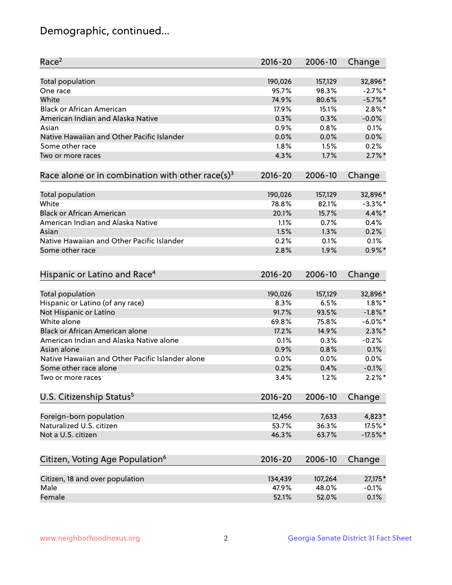## Demographic, continued...

| Race <sup>2</sup>                                            | $2016 - 20$  | 2006-10      | Change               |
|--------------------------------------------------------------|--------------|--------------|----------------------|
| <b>Total population</b>                                      | 190,026      | 157,129      | 32,896*              |
| One race                                                     | 95.7%        | 98.3%        | $-2.7%$ *            |
| White                                                        | 74.9%        | 80.6%        | $-5.7\%$ *           |
| <b>Black or African American</b>                             | 17.9%        | 15.1%        | $2.8\%$ *            |
| American Indian and Alaska Native                            | 0.3%         | 0.3%         | $-0.0%$              |
| Asian                                                        | 0.9%         | 0.8%         | 0.1%                 |
| Native Hawaiian and Other Pacific Islander                   | 0.0%         | 0.0%         | 0.0%                 |
| Some other race                                              | 1.8%         | 1.5%         | 0.2%                 |
| Two or more races                                            | 4.3%         | 1.7%         | $2.7\%$ *            |
| Race alone or in combination with other race(s) <sup>3</sup> | $2016 - 20$  | 2006-10      | Change               |
|                                                              |              |              |                      |
| Total population                                             | 190,026      | 157,129      | 32,896*              |
| White                                                        | 78.8%        | 82.1%        | $-3.3\%$ *           |
| <b>Black or African American</b>                             | 20.1%        | 15.7%        | 4.4%*                |
| American Indian and Alaska Native                            | 1.1%         | 0.7%         | 0.4%                 |
| Asian                                                        | 1.5%         | 1.3%         | 0.2%                 |
| Native Hawaiian and Other Pacific Islander                   | 0.2%         | 0.1%         | 0.1%                 |
| Some other race                                              | 2.8%         | 1.9%         | $0.9\%$ *            |
| Hispanic or Latino and Race <sup>4</sup>                     | $2016 - 20$  | 2006-10      | Change               |
| Total population                                             | 190,026      | 157,129      | 32,896*              |
| Hispanic or Latino (of any race)                             | 8.3%         | 6.5%         | $1.8\%$ *            |
| Not Hispanic or Latino                                       | 91.7%        | 93.5%        | $-1.8\%$ *           |
| White alone                                                  | 69.8%        | 75.8%        | $-6.0\%$ *           |
| Black or African American alone                              | 17.2%        | 14.9%        | $2.3\%$ *            |
| American Indian and Alaska Native alone                      | 0.1%         | 0.3%         | $-0.2%$              |
| Asian alone                                                  | 0.9%         | 0.8%         | 0.1%                 |
|                                                              |              |              |                      |
| Native Hawaiian and Other Pacific Islander alone             | 0.0%         | 0.0%         | 0.0%                 |
| Some other race alone<br>Two or more races                   | 0.2%<br>3.4% | 0.4%<br>1.2% | $-0.1%$<br>$2.2\%$ * |
|                                                              |              |              |                      |
| U.S. Citizenship Status <sup>5</sup>                         | $2016 - 20$  | 2006-10      | Change               |
| Foreign-born population                                      | 12,456       | 7,633        | 4,823*               |
| Naturalized U.S. citizen                                     | 53.7%        | 36.3%        | 17.5%*               |
| Not a U.S. citizen                                           | 46.3%        | 63.7%        | $-17.5%$             |
|                                                              |              |              |                      |
| Citizen, Voting Age Population <sup>6</sup>                  | 2016-20      | 2006-10      | Change               |
| Citizen, 18 and over population                              | 134,439      | 107,264      | 27,175*              |
| Male                                                         | 47.9%        | 48.0%        | $-0.1%$              |
| Female                                                       | 52.1%        | 52.0%        | 0.1%                 |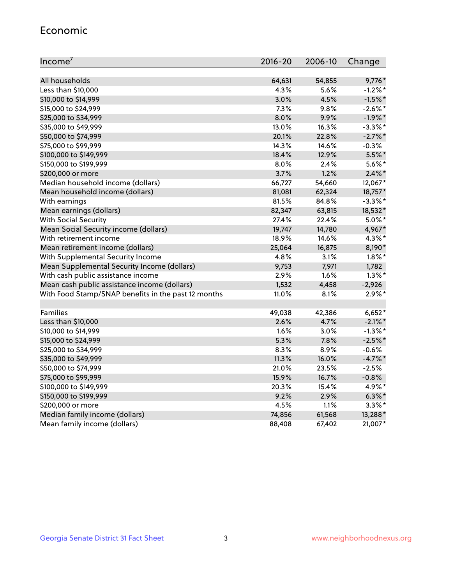#### Economic

| Income <sup>7</sup>                                 | 2016-20 | 2006-10 | Change     |
|-----------------------------------------------------|---------|---------|------------|
|                                                     |         |         |            |
| All households                                      | 64,631  | 54,855  | 9,776*     |
| Less than \$10,000                                  | 4.3%    | 5.6%    | $-1.2%$ *  |
| \$10,000 to \$14,999                                | 3.0%    | 4.5%    | $-1.5%$ *  |
| \$15,000 to \$24,999                                | 7.3%    | 9.8%    | $-2.6\%$ * |
| \$25,000 to \$34,999                                | 8.0%    | 9.9%    | $-1.9%$ *  |
| \$35,000 to \$49,999                                | 13.0%   | 16.3%   | $-3.3\%$ * |
| \$50,000 to \$74,999                                | 20.1%   | 22.8%   | $-2.7\%$ * |
| \$75,000 to \$99,999                                | 14.3%   | 14.6%   | $-0.3%$    |
| \$100,000 to \$149,999                              | 18.4%   | 12.9%   | 5.5%*      |
| \$150,000 to \$199,999                              | 8.0%    | 2.4%    | $5.6\%$ *  |
| \$200,000 or more                                   | 3.7%    | 1.2%    | $2.4\%$ *  |
| Median household income (dollars)                   | 66,727  | 54,660  | 12,067*    |
| Mean household income (dollars)                     | 81,081  | 62,324  | 18,757*    |
| With earnings                                       | 81.5%   | 84.8%   | $-3.3\%$ * |
| Mean earnings (dollars)                             | 82,347  | 63,815  | 18,532*    |
| <b>With Social Security</b>                         | 27.4%   | 22.4%   | $5.0\%$ *  |
| Mean Social Security income (dollars)               | 19,747  | 14,780  | 4,967*     |
| With retirement income                              | 18.9%   | 14.6%   | 4.3%*      |
| Mean retirement income (dollars)                    | 25,064  | 16,875  | 8,190*     |
| With Supplemental Security Income                   | 4.8%    | 3.1%    | $1.8\%$ *  |
| Mean Supplemental Security Income (dollars)         | 9,753   | 7,971   | 1,782      |
| With cash public assistance income                  | 2.9%    | 1.6%    | $1.3\%$ *  |
| Mean cash public assistance income (dollars)        | 1,532   | 4,458   | $-2,926$   |
| With Food Stamp/SNAP benefits in the past 12 months | 11.0%   | 8.1%    | $2.9\%$ *  |
| Families                                            | 49,038  | 42,386  | $6,652*$   |
| Less than \$10,000                                  | 2.6%    | 4.7%    | $-2.1\%$ * |
| \$10,000 to \$14,999                                | 1.6%    | 3.0%    | $-1.3\%$ * |
| \$15,000 to \$24,999                                | 5.3%    | 7.8%    | $-2.5%$ *  |
| \$25,000 to \$34,999                                | 8.3%    | 8.9%    | $-0.6%$    |
| \$35,000 to \$49,999                                | 11.3%   | 16.0%   | $-4.7%$ *  |
| \$50,000 to \$74,999                                | 21.0%   | 23.5%   | $-2.5%$    |
| \$75,000 to \$99,999                                | 15.9%   | 16.7%   | $-0.8%$    |
| \$100,000 to \$149,999                              | 20.3%   | 15.4%   | 4.9%*      |
| \$150,000 to \$199,999                              | 9.2%    | 2.9%    | $6.3\%$ *  |
| \$200,000 or more                                   | 4.5%    | 1.1%    | $3.3\%$ *  |
| Median family income (dollars)                      | 74,856  | 61,568  | 13,288*    |
| Mean family income (dollars)                        | 88,408  | 67,402  | 21,007*    |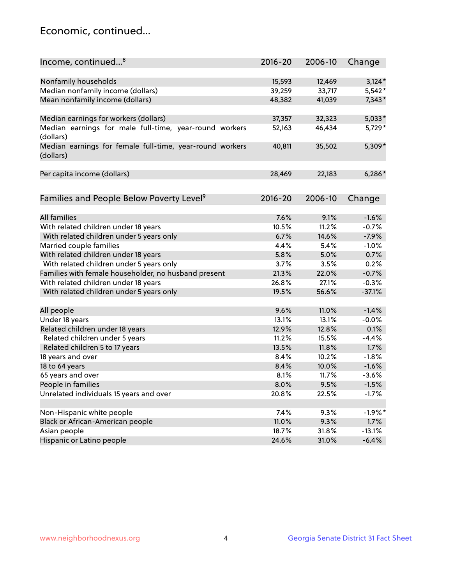## Economic, continued...

| Income, continued <sup>8</sup>                                        | $2016 - 20$ | 2006-10 | Change          |
|-----------------------------------------------------------------------|-------------|---------|-----------------|
|                                                                       |             |         |                 |
| Nonfamily households                                                  | 15,593      | 12,469  | $3,124*$        |
| Median nonfamily income (dollars)                                     | 39,259      | 33,717  | $5,542*$        |
| Mean nonfamily income (dollars)                                       | 48,382      | 41,039  | 7,343*          |
| Median earnings for workers (dollars)                                 | 37,357      | 32,323  | $5,033*$        |
| Median earnings for male full-time, year-round workers<br>(dollars)   | 52,163      | 46,434  | 5,729*          |
| Median earnings for female full-time, year-round workers<br>(dollars) | 40,811      | 35,502  | 5,309*          |
| Per capita income (dollars)                                           | 28,469      | 22,183  | $6,286*$        |
| Families and People Below Poverty Level <sup>9</sup>                  | 2016-20     | 2006-10 | Change          |
|                                                                       |             |         |                 |
| <b>All families</b>                                                   | 7.6%        | 9.1%    | $-1.6%$         |
| With related children under 18 years                                  | 10.5%       | 11.2%   | $-0.7%$         |
| With related children under 5 years only                              | 6.7%        | 14.6%   | $-7.9%$         |
| Married couple families                                               | 4.4%        | 5.4%    | $-1.0%$         |
| With related children under 18 years                                  | 5.8%        | 5.0%    | 0.7%            |
| With related children under 5 years only                              | 3.7%        | 3.5%    | 0.2%            |
| Families with female householder, no husband present                  | 21.3%       | 22.0%   | $-0.7%$         |
| With related children under 18 years                                  | 26.8%       | 27.1%   | $-0.3%$         |
| With related children under 5 years only                              | 19.5%       | 56.6%   | $-37.1%$        |
|                                                                       | 9.6%        | 11.0%   | $-1.4%$         |
| All people<br>Under 18 years                                          | 13.1%       | 13.1%   | $-0.0%$         |
| Related children under 18 years                                       | 12.9%       | 12.8%   | 0.1%            |
|                                                                       | 11.2%       | 15.5%   | $-4.4%$         |
| Related children under 5 years                                        |             |         |                 |
| Related children 5 to 17 years                                        | 13.5%       | 11.8%   | 1.7%<br>$-1.8%$ |
| 18 years and over                                                     | 8.4%        | 10.2%   |                 |
| 18 to 64 years                                                        | 8.4%        | 10.0%   | $-1.6%$         |
| 65 years and over                                                     | 8.1%        | 11.7%   | $-3.6%$         |
| People in families                                                    | 8.0%        | 9.5%    | $-1.5%$         |
| Unrelated individuals 15 years and over                               | 20.8%       | 22.5%   | $-1.7%$         |
|                                                                       |             |         |                 |
| Non-Hispanic white people                                             | 7.4%        | 9.3%    | $-1.9%$ *       |
| Black or African-American people                                      | 11.0%       | 9.3%    | 1.7%            |
| Asian people                                                          | 18.7%       | 31.8%   | $-13.1%$        |
| Hispanic or Latino people                                             | 24.6%       | 31.0%   | $-6.4%$         |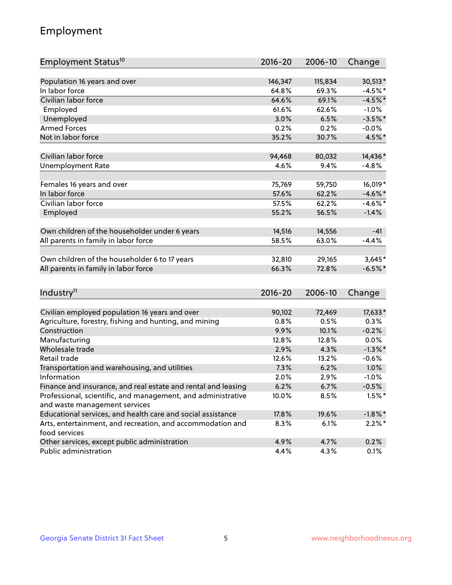## Employment

| Employment Status <sup>10</sup>                                                               | $2016 - 20$  | 2006-10      | Change     |
|-----------------------------------------------------------------------------------------------|--------------|--------------|------------|
|                                                                                               |              |              |            |
| Population 16 years and over                                                                  | 146,347      | 115,834      | 30,513*    |
| In labor force                                                                                | 64.8%        | 69.3%        | $-4.5%$ *  |
| Civilian labor force                                                                          | 64.6%        | 69.1%        | $-4.5%$ *  |
| Employed                                                                                      | 61.6%        | 62.6%        | $-1.0%$    |
| Unemployed                                                                                    | 3.0%         | 6.5%         | $-3.5%$ *  |
| <b>Armed Forces</b>                                                                           | 0.2%         | 0.2%         | $-0.0\%$   |
| Not in labor force                                                                            | 35.2%        | 30.7%        | 4.5%*      |
| Civilian labor force                                                                          | 94,468       | 80,032       | 14,436*    |
| <b>Unemployment Rate</b>                                                                      | 4.6%         | 9.4%         | $-4.8%$    |
|                                                                                               |              |              |            |
| Females 16 years and over                                                                     | 75,769       | 59,750       | 16,019*    |
| In labor force                                                                                | 57.6%        | 62.2%        | $-4.6\%$ * |
| Civilian labor force                                                                          | 57.5%        | 62.2%        | $-4.6\%$ * |
| Employed                                                                                      | 55.2%        | 56.5%        | $-1.4%$    |
| Own children of the householder under 6 years                                                 | 14,516       | 14,556       | $-41$      |
| All parents in family in labor force                                                          | 58.5%        | 63.0%        | $-4.4%$    |
|                                                                                               |              |              |            |
| Own children of the householder 6 to 17 years                                                 | 32,810       | 29,165       | $3,645*$   |
| All parents in family in labor force                                                          | 66.3%        | 72.8%        | $-6.5%$ *  |
|                                                                                               |              |              |            |
| Industry <sup>11</sup>                                                                        | $2016 - 20$  | 2006-10      | Change     |
|                                                                                               |              |              |            |
| Civilian employed population 16 years and over                                                | 90,102       | 72,469       | 17,633*    |
| Agriculture, forestry, fishing and hunting, and mining                                        | 0.8%         | 0.5%         | 0.3%       |
| Construction                                                                                  | 9.9%         | 10.1%        | $-0.2%$    |
| Manufacturing<br>Wholesale trade                                                              | 12.8%        | 12.8%        | 0.0%       |
| Retail trade                                                                                  | 2.9%         | 4.3%         | $-1.3\%$ * |
|                                                                                               | 12.6%        | 13.2%        | $-0.6%$    |
| Transportation and warehousing, and utilities<br>Information                                  | 7.3%<br>2.0% | 6.2%         | 1.0%       |
|                                                                                               |              | 2.9%<br>6.7% | $-1.0%$    |
| Finance and insurance, and real estate and rental and leasing                                 | 6.2%         |              | $-0.5%$    |
| Professional, scientific, and management, and administrative<br>and waste management services | 10.0%        | 8.5%         | $1.5%$ *   |
| Educational services, and health care and social assistance                                   | 17.8%        | 19.6%        | $-1.8\%$ * |
| Arts, entertainment, and recreation, and accommodation and                                    | 8.3%         | 6.1%         | $2.2\%$ *  |
| food services                                                                                 |              |              |            |
| Other services, except public administration                                                  | 4.9%         | 4.7%         | 0.2%       |
| Public administration                                                                         | 4.4%         | 4.3%         | 0.1%       |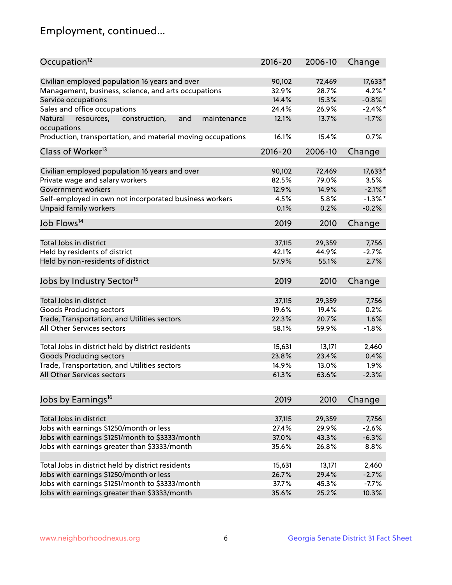## Employment, continued...

| Occupation <sup>12</sup>                                                    | $2016 - 20$ | 2006-10 | Change     |
|-----------------------------------------------------------------------------|-------------|---------|------------|
| Civilian employed population 16 years and over                              | 90,102      | 72,469  | 17,633*    |
| Management, business, science, and arts occupations                         | 32.9%       | 28.7%   | $4.2\%$ *  |
| Service occupations                                                         | 14.4%       | 15.3%   | $-0.8%$    |
| Sales and office occupations                                                | 24.4%       | 26.9%   | $-2.4\%$ * |
|                                                                             | 12.1%       |         | $-1.7%$    |
| Natural<br>and<br>resources,<br>construction,<br>maintenance<br>occupations |             | 13.7%   |            |
| Production, transportation, and material moving occupations                 | 16.1%       | 15.4%   | 0.7%       |
| Class of Worker <sup>13</sup>                                               | $2016 - 20$ | 2006-10 | Change     |
|                                                                             |             |         |            |
| Civilian employed population 16 years and over                              | 90,102      | 72,469  | $17,633*$  |
| Private wage and salary workers                                             | 82.5%       | 79.0%   | 3.5%       |
| Government workers                                                          | 12.9%       | 14.9%   | $-2.1\%$ * |
| Self-employed in own not incorporated business workers                      | 4.5%        | 5.8%    | $-1.3%$ *  |
| Unpaid family workers                                                       | 0.1%        | 0.2%    | $-0.2%$    |
| Job Flows <sup>14</sup>                                                     | 2019        | 2010    | Change     |
|                                                                             |             |         |            |
| Total Jobs in district                                                      | 37,115      | 29,359  | 7,756      |
| Held by residents of district                                               | 42.1%       | 44.9%   | $-2.7%$    |
| Held by non-residents of district                                           | 57.9%       | 55.1%   | 2.7%       |
| Jobs by Industry Sector <sup>15</sup>                                       | 2019        | 2010    | Change     |
|                                                                             |             |         |            |
| Total Jobs in district                                                      | 37,115      | 29,359  | 7,756      |
| Goods Producing sectors                                                     | 19.6%       | 19.4%   | 0.2%       |
| Trade, Transportation, and Utilities sectors                                | 22.3%       | 20.7%   | 1.6%       |
| All Other Services sectors                                                  | 58.1%       | 59.9%   | $-1.8%$    |
| Total Jobs in district held by district residents                           | 15,631      | 13,171  | 2,460      |
| <b>Goods Producing sectors</b>                                              | 23.8%       | 23.4%   | 0.4%       |
| Trade, Transportation, and Utilities sectors                                | 14.9%       | 13.0%   | 1.9%       |
| All Other Services sectors                                                  | 61.3%       | 63.6%   | $-2.3%$    |
|                                                                             |             |         |            |
| Jobs by Earnings <sup>16</sup>                                              | 2019        | 2010    | Change     |
|                                                                             |             |         |            |
| Total Jobs in district                                                      | 37,115      | 29,359  | 7,756      |
| Jobs with earnings \$1250/month or less                                     | 27.4%       | 29.9%   | $-2.6%$    |
| Jobs with earnings \$1251/month to \$3333/month                             | 37.0%       | 43.3%   | $-6.3%$    |
| Jobs with earnings greater than \$3333/month                                | 35.6%       | 26.8%   | 8.8%       |
| Total Jobs in district held by district residents                           | 15,631      | 13,171  | 2,460      |
| Jobs with earnings \$1250/month or less                                     | 26.7%       | 29.4%   | $-2.7%$    |
| Jobs with earnings \$1251/month to \$3333/month                             | 37.7%       | 45.3%   | $-7.7%$    |
| Jobs with earnings greater than \$3333/month                                | 35.6%       | 25.2%   | 10.3%      |
|                                                                             |             |         |            |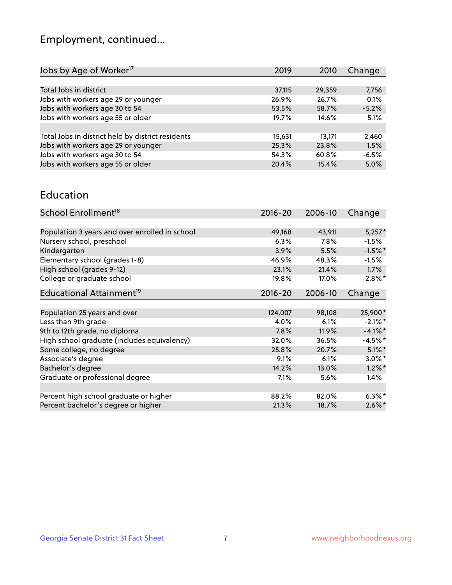## Employment, continued...

| 2019   | 2010   | Change  |
|--------|--------|---------|
|        |        |         |
| 37,115 | 29,359 | 7,756   |
| 26.9%  | 26.7%  | 0.1%    |
| 53.5%  | 58.7%  | $-5.2%$ |
| 19.7%  | 14.6%  | 5.1%    |
|        |        |         |
| 15,631 | 13,171 | 2,460   |
| 25.3%  | 23.8%  | 1.5%    |
| 54.3%  | 60.8%  | $-6.5%$ |
| 20.4%  | 15.4%  | 5.0%    |
|        |        |         |

#### Education

| School Enrollment <sup>18</sup>                | $2016 - 20$ | 2006-10 | Change     |
|------------------------------------------------|-------------|---------|------------|
|                                                |             |         |            |
| Population 3 years and over enrolled in school | 49,168      | 43,911  | $5,257*$   |
| Nursery school, preschool                      | 6.3%        | 7.8%    | $-1.5%$    |
| Kindergarten                                   | 3.9%        | 5.5%    | $-1.5%$ *  |
| Elementary school (grades 1-8)                 | 46.9%       | 48.3%   | $-1.5%$    |
| High school (grades 9-12)                      | 23.1%       | 21.4%   | $1.7\%$    |
| College or graduate school                     | 19.8%       | 17.0%   | $2.8\%$ *  |
| Educational Attainment <sup>19</sup>           | $2016 - 20$ | 2006-10 | Change     |
|                                                |             |         |            |
| Population 25 years and over                   | 124,007     | 98,108  | 25,900*    |
| Less than 9th grade                            | 4.0%        | 6.1%    | $-2.1\%$ * |
| 9th to 12th grade, no diploma                  | 7.8%        | 11.9%   | $-4.1\%$ * |
| High school graduate (includes equivalency)    | 32.0%       | 36.5%   | $-4.5%$ *  |
| Some college, no degree                        | 25.8%       | 20.7%   | $5.1\%$ *  |
| Associate's degree                             | 9.1%        | 6.1%    | $3.0\%$ *  |
| Bachelor's degree                              | 14.2%       | 13.0%   | $1.2\%$ *  |
| Graduate or professional degree                | $7.1\%$     | 5.6%    | 1.4%       |
|                                                |             |         |            |
| Percent high school graduate or higher         | 88.2%       | 82.0%   | $6.3\%$ *  |
| Percent bachelor's degree or higher            | 21.3%       | 18.7%   | $2.6\%$ *  |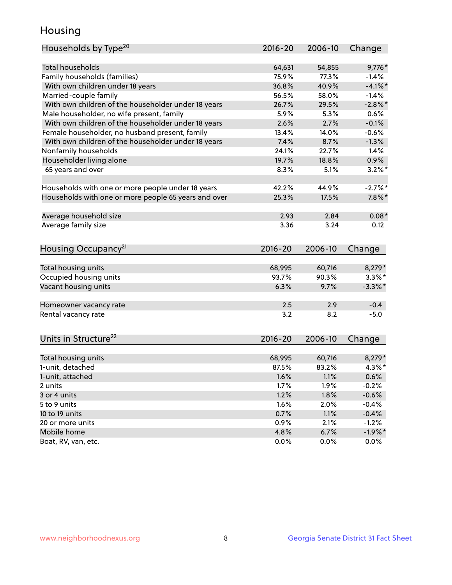## Housing

| Households by Type <sup>20</sup>                     | 2016-20     | 2006-10 | Change     |
|------------------------------------------------------|-------------|---------|------------|
|                                                      |             |         |            |
| <b>Total households</b>                              | 64,631      | 54,855  | 9,776*     |
| Family households (families)                         | 75.9%       | 77.3%   | $-1.4%$    |
| With own children under 18 years                     | 36.8%       | 40.9%   | $-4.1\%$ * |
| Married-couple family                                | 56.5%       | 58.0%   | $-1.4%$    |
| With own children of the householder under 18 years  | 26.7%       | 29.5%   | $-2.8\%$ * |
| Male householder, no wife present, family            | 5.9%        | 5.3%    | 0.6%       |
| With own children of the householder under 18 years  | 2.6%        | 2.7%    | $-0.1%$    |
| Female householder, no husband present, family       | 13.4%       | 14.0%   | $-0.6%$    |
| With own children of the householder under 18 years  | 7.4%        | 8.7%    | $-1.3%$    |
| Nonfamily households                                 | 24.1%       | 22.7%   | 1.4%       |
| Householder living alone                             | 19.7%       | 18.8%   | 0.9%       |
| 65 years and over                                    | 8.3%        | 5.1%    | $3.2\%$ *  |
|                                                      |             |         |            |
| Households with one or more people under 18 years    | 42.2%       | 44.9%   | $-2.7%$ *  |
| Households with one or more people 65 years and over | 25.3%       | 17.5%   | $7.8\%$ *  |
| Average household size                               | 2.93        | 2.84    | $0.08*$    |
| Average family size                                  | 3.36        | 3.24    | 0.12       |
|                                                      |             |         |            |
| Housing Occupancy <sup>21</sup>                      | $2016 - 20$ | 2006-10 | Change     |
| Total housing units                                  | 68,995      | 60,716  | 8,279*     |
| Occupied housing units                               | 93.7%       | 90.3%   | $3.3\%$ *  |
| Vacant housing units                                 | 6.3%        | 9.7%    | $-3.3\%$ * |
|                                                      |             |         |            |
| Homeowner vacancy rate                               | 2.5         | 2.9     | $-0.4$     |
| Rental vacancy rate                                  | 3.2         | 8.2     | $-5.0$     |
| Units in Structure <sup>22</sup>                     | $2016 - 20$ | 2006-10 |            |
|                                                      |             |         | Change     |
| Total housing units                                  | 68,995      | 60,716  | 8,279*     |
| 1-unit, detached                                     | 87.5%       | 83.2%   | $4.3\%$ *  |
| 1-unit, attached                                     | 1.6%        | 1.1%    | 0.6%       |
| 2 units                                              | 1.7%        | 1.9%    | $-0.2%$    |
| 3 or 4 units                                         | 1.2%        | 1.8%    | $-0.6%$    |
| 5 to 9 units                                         | 1.6%        | 2.0%    | $-0.4%$    |
| 10 to 19 units                                       | 0.7%        | 1.1%    | $-0.4%$    |
| 20 or more units                                     | 0.9%        | 2.1%    | $-1.2%$    |
| Mobile home                                          | 4.8%        | 6.7%    | $-1.9%$ *  |
| Boat, RV, van, etc.                                  | 0.0%        | 0.0%    | $0.0\%$    |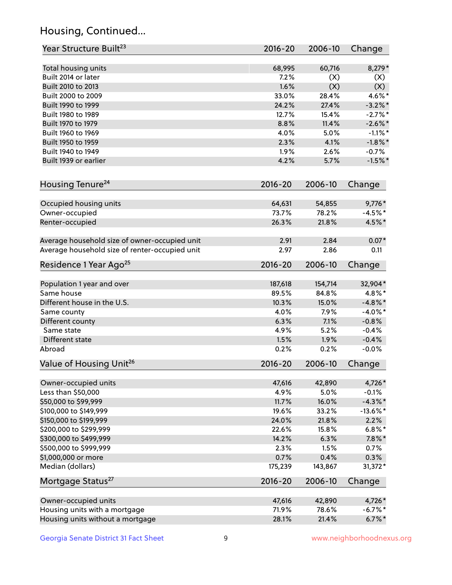## Housing, Continued...

| Year Structure Built <sup>23</sup>             | 2016-20     | 2006-10 | Change      |
|------------------------------------------------|-------------|---------|-------------|
| Total housing units                            | 68,995      | 60,716  | 8,279*      |
| Built 2014 or later                            | 7.2%        | (X)     | (X)         |
| Built 2010 to 2013                             | 1.6%        | (X)     | (X)         |
| Built 2000 to 2009                             | 33.0%       | 28.4%   | 4.6%*       |
| Built 1990 to 1999                             | 24.2%       | 27.4%   | $-3.2\%$ *  |
| Built 1980 to 1989                             | 12.7%       | 15.4%   | $-2.7%$ *   |
| Built 1970 to 1979                             | 8.8%        | 11.4%   | $-2.6\%$ *  |
| Built 1960 to 1969                             | 4.0%        | 5.0%    | $-1.1\%$ *  |
| Built 1950 to 1959                             | 2.3%        | 4.1%    | $-1.8\%$ *  |
| Built 1940 to 1949                             | 1.9%        | 2.6%    | $-0.7%$     |
| Built 1939 or earlier                          | 4.2%        | 5.7%    | $-1.5%$ *   |
|                                                |             |         |             |
| Housing Tenure <sup>24</sup>                   | $2016 - 20$ | 2006-10 | Change      |
| Occupied housing units                         | 64,631      | 54,855  | $9,776*$    |
| Owner-occupied                                 | 73.7%       | 78.2%   | $-4.5%$ *   |
| Renter-occupied                                | 26.3%       | 21.8%   | 4.5%*       |
| Average household size of owner-occupied unit  | 2.91        | 2.84    | $0.07*$     |
| Average household size of renter-occupied unit | 2.97        | 2.86    | 0.11        |
| Residence 1 Year Ago <sup>25</sup>             | $2016 - 20$ | 2006-10 | Change      |
| Population 1 year and over                     | 187,618     | 154,714 | 32,904*     |
| Same house                                     | 89.5%       | 84.8%   | $4.8\%$ *   |
| Different house in the U.S.                    | 10.3%       | 15.0%   | $-4.8\%$ *  |
| Same county                                    | 4.0%        | 7.9%    | $-4.0\%$ *  |
| Different county                               | 6.3%        | 7.1%    | $-0.8%$     |
| Same state                                     | 4.9%        | 5.2%    | $-0.4%$     |
| Different state                                | 1.5%        | 1.9%    | $-0.4%$     |
| Abroad                                         | 0.2%        | 0.2%    | $-0.0%$     |
|                                                |             |         |             |
| Value of Housing Unit <sup>26</sup>            | $2016 - 20$ | 2006-10 | Change      |
| Owner-occupied units                           | 47,616      | 42,890  | 4,726*      |
| Less than \$50,000                             | 4.9%        | 5.0%    | $-0.1%$     |
| \$50,000 to \$99,999                           | 11.7%       | 16.0%   | $-4.3\%$ *  |
| \$100,000 to \$149,999                         | 19.6%       | 33.2%   | $-13.6\%$ * |
| \$150,000 to \$199,999                         | 24.0%       | 21.8%   | 2.2%        |
| \$200,000 to \$299,999                         | 22.6%       | 15.8%   | $6.8\%$ *   |
| \$300,000 to \$499,999                         | 14.2%       | 6.3%    | $7.8\%$ *   |
| \$500,000 to \$999,999                         | 2.3%        | 1.5%    | 0.7%        |
| \$1,000,000 or more                            | 0.7%        | 0.4%    | 0.3%        |
| Median (dollars)                               | 175,239     | 143,867 | 31,372*     |
| Mortgage Status <sup>27</sup>                  | $2016 - 20$ | 2006-10 | Change      |
| Owner-occupied units                           | 47,616      | 42,890  | 4,726*      |
| Housing units with a mortgage                  | 71.9%       | 78.6%   | $-6.7\%$ *  |
| Housing units without a mortgage               | 28.1%       | 21.4%   | $6.7\%$ *   |
|                                                |             |         |             |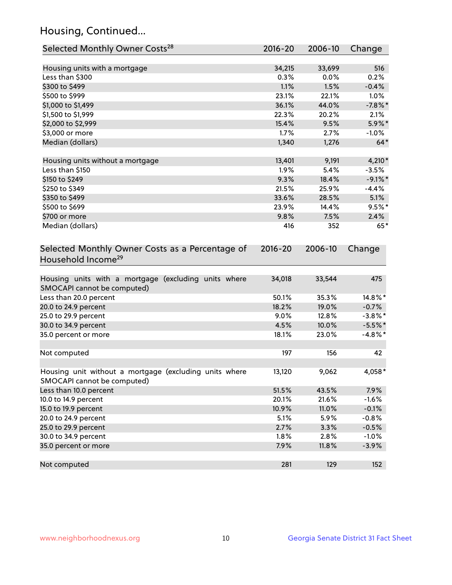## Housing, Continued...

| Selected Monthly Owner Costs <sup>28</sup>                                            | $2016 - 20$ | 2006-10 | Change     |
|---------------------------------------------------------------------------------------|-------------|---------|------------|
| Housing units with a mortgage                                                         | 34,215      | 33,699  | 516        |
| Less than \$300                                                                       | 0.3%        | 0.0%    | 0.2%       |
| \$300 to \$499                                                                        | 1.1%        | 1.5%    | $-0.4%$    |
| \$500 to \$999                                                                        | 23.1%       | 22.1%   | 1.0%       |
| \$1,000 to \$1,499                                                                    | 36.1%       | 44.0%   | $-7.8\%$ * |
| \$1,500 to \$1,999                                                                    | 22.3%       | 20.2%   | 2.1%       |
| \$2,000 to \$2,999                                                                    | 15.4%       | 9.5%    | 5.9%*      |
| \$3,000 or more                                                                       | 1.7%        | 2.7%    | $-1.0\%$   |
| Median (dollars)                                                                      | 1,340       | 1,276   | $64*$      |
| Housing units without a mortgage                                                      | 13,401      | 9,191   | 4,210*     |
| Less than \$150                                                                       | 1.9%        | 5.4%    | $-3.5%$    |
| \$150 to \$249                                                                        | 9.3%        | 18.4%   | $-9.1\%$ * |
| \$250 to \$349                                                                        | 21.5%       | 25.9%   | $-4.4%$    |
| \$350 to \$499                                                                        | 33.6%       | 28.5%   | 5.1%       |
| \$500 to \$699                                                                        | 23.9%       | 14.4%   | $9.5%$ *   |
| \$700 or more                                                                         | 9.8%        | 7.5%    | 2.4%       |
| Median (dollars)                                                                      | 416         | 352     | $65*$      |
| Selected Monthly Owner Costs as a Percentage of<br>Household Income <sup>29</sup>     | $2016 - 20$ | 2006-10 | Change     |
| Housing units with a mortgage (excluding units where<br>SMOCAPI cannot be computed)   | 34,018      | 33,544  | 475        |
| Less than 20.0 percent                                                                | 50.1%       | 35.3%   | 14.8%*     |
| 20.0 to 24.9 percent                                                                  | 18.2%       | 19.0%   | $-0.7%$    |
| 25.0 to 29.9 percent                                                                  | 9.0%        | 12.8%   | $-3.8\%$ * |
| 30.0 to 34.9 percent                                                                  | 4.5%        | 10.0%   | $-5.5%$ *  |
| 35.0 percent or more                                                                  | 18.1%       | 23.0%   | $-4.8\%$ * |
| Not computed                                                                          | 197         | 156     | 42         |
| Housing unit without a mortgage (excluding units where<br>SMOCAPI cannot be computed) | 13,120      | 9,062   | 4,058*     |
| Less than 10.0 percent                                                                | 51.5%       | 43.5%   | 7.9%       |
| 10.0 to 14.9 percent                                                                  | 20.1%       | 21.6%   | $-1.6%$    |
| 15.0 to 19.9 percent                                                                  | 10.9%       | 11.0%   | $-0.1%$    |
| 20.0 to 24.9 percent                                                                  | 5.1%        | 5.9%    | $-0.8%$    |
| 25.0 to 29.9 percent                                                                  | 2.7%        | 3.3%    | $-0.5%$    |
| 30.0 to 34.9 percent                                                                  | 1.8%        | 2.8%    | $-1.0%$    |
| 35.0 percent or more                                                                  | 7.9%        | 11.8%   | $-3.9%$    |
| Not computed                                                                          | 281         | 129     | 152        |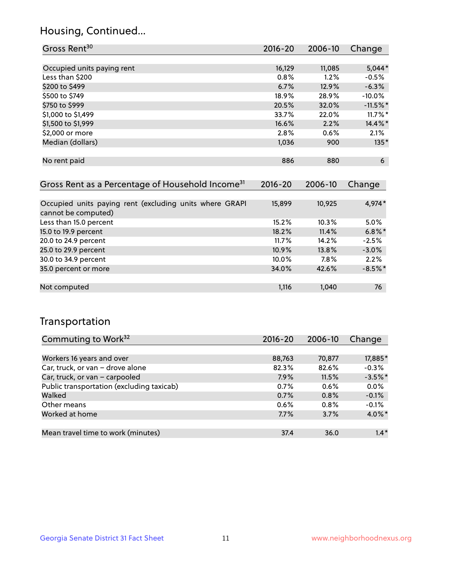## Housing, Continued...

| Gross Rent <sup>30</sup>   | 2016-20 | 2006-10 | Change     |
|----------------------------|---------|---------|------------|
|                            |         |         |            |
| Occupied units paying rent | 16,129  | 11,085  | $5,044*$   |
| Less than \$200            | 0.8%    | 1.2%    | $-0.5%$    |
| \$200 to \$499             | 6.7%    | 12.9%   | $-6.3%$    |
| \$500 to \$749             | 18.9%   | 28.9%   | $-10.0%$   |
| \$750 to \$999             | 20.5%   | 32.0%   | $-11.5%$ * |
| \$1,000 to \$1,499         | 33.7%   | 22.0%   | $11.7\%$ * |
| \$1,500 to \$1,999         | 16.6%   | 2.2%    | 14.4%*     |
| \$2,000 or more            | 2.8%    | 0.6%    | 2.1%       |
| Median (dollars)           | 1,036   | 900     | $135*$     |
|                            |         |         |            |
| No rent paid               | 886     | 880     | 6          |

| Gross Rent as a Percentage of Household Income <sup>31</sup>                   | $2016 - 20$ | 2006-10 | Change    |
|--------------------------------------------------------------------------------|-------------|---------|-----------|
|                                                                                |             |         |           |
| Occupied units paying rent (excluding units where GRAPI<br>cannot be computed) | 15,899      | 10,925  | 4,974*    |
| Less than 15.0 percent                                                         | 15.2%       | 10.3%   | $5.0\%$   |
| 15.0 to 19.9 percent                                                           | 18.2%       | 11.4%   | $6.8\%$ * |
| 20.0 to 24.9 percent                                                           | 11.7%       | 14.2%   | $-2.5%$   |
| 25.0 to 29.9 percent                                                           | 10.9%       | 13.8%   | $-3.0%$   |
| 30.0 to 34.9 percent                                                           | 10.0%       | $7.8\%$ | 2.2%      |
| 35.0 percent or more                                                           | 34.0%       | 42.6%   | $-8.5%$ * |
|                                                                                |             |         |           |
| Not computed                                                                   | 1,116       | 1,040   | 76        |

## Transportation

| Commuting to Work <sup>32</sup>           | $2016 - 20$ | 2006-10 | Change    |
|-------------------------------------------|-------------|---------|-----------|
|                                           |             |         |           |
| Workers 16 years and over                 | 88,763      | 70,877  | 17,885*   |
| Car, truck, or van - drove alone          | 82.3%       | 82.6%   | $-0.3%$   |
| Car, truck, or van - carpooled            | 7.9%        | 11.5%   | $-3.5%$ * |
| Public transportation (excluding taxicab) | 0.7%        | 0.6%    | 0.0%      |
| Walked                                    | 0.7%        | 0.8%    | $-0.1%$   |
| Other means                               | $0.6\%$     | 0.8%    | $-0.1%$   |
| Worked at home                            | 7.7%        | 3.7%    | 4.0%*     |
|                                           |             |         |           |
| Mean travel time to work (minutes)        | 37.4        | 36.0    | $1.4*$    |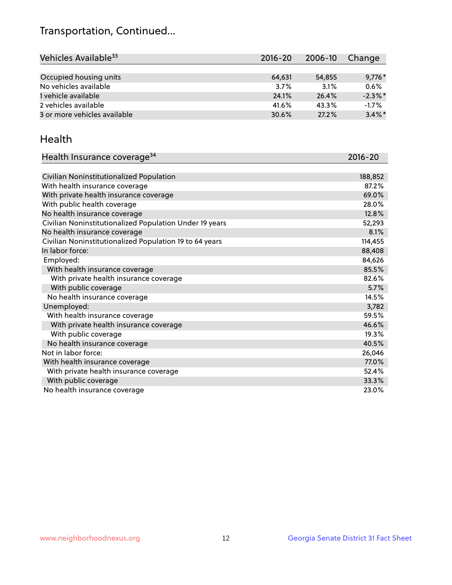## Transportation, Continued...

| Vehicles Available <sup>33</sup> | $2016 - 20$ | 2006-10 | Change     |
|----------------------------------|-------------|---------|------------|
|                                  |             |         |            |
| Occupied housing units           | 64,631      | 54,855  | $9,776*$   |
| No vehicles available            | 3.7%        | 3.1%    | 0.6%       |
| 1 vehicle available              | 24.1%       | 26.4%   | $-2.3\%$ * |
| 2 vehicles available             | 41.6%       | 43.3%   | $-1.7%$    |
| 3 or more vehicles available     | 30.6%       | 27.2%   | $3.4\%$ *  |

#### Health

| Health Insurance coverage <sup>34</sup>                 | 2016-20 |
|---------------------------------------------------------|---------|
|                                                         |         |
| Civilian Noninstitutionalized Population                | 188,852 |
| With health insurance coverage                          | 87.2%   |
| With private health insurance coverage                  | 69.0%   |
| With public health coverage                             | 28.0%   |
| No health insurance coverage                            | 12.8%   |
| Civilian Noninstitutionalized Population Under 19 years | 52,293  |
| No health insurance coverage                            | 8.1%    |
| Civilian Noninstitutionalized Population 19 to 64 years | 114,455 |
| In labor force:                                         | 88,408  |
| Employed:                                               | 84,626  |
| With health insurance coverage                          | 85.5%   |
| With private health insurance coverage                  | 82.6%   |
| With public coverage                                    | 5.7%    |
| No health insurance coverage                            | 14.5%   |
| Unemployed:                                             | 3,782   |
| With health insurance coverage                          | 59.5%   |
| With private health insurance coverage                  | 46.6%   |
| With public coverage                                    | 19.3%   |
| No health insurance coverage                            | 40.5%   |
| Not in labor force:                                     | 26,046  |
| With health insurance coverage                          | 77.0%   |
| With private health insurance coverage                  | 52.4%   |
| With public coverage                                    | 33.3%   |
| No health insurance coverage                            | 23.0%   |